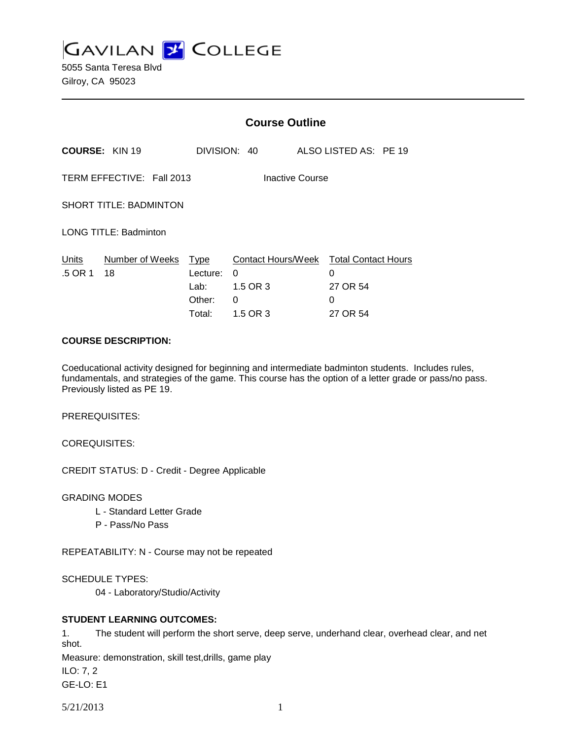**GAVILAN L'OLLEGE** 

5055 Santa Teresa Blvd Gilroy, CA 95023

|                                                     |                       | <b>Course Outline</b>                        |                                                      |  |                                                              |  |  |
|-----------------------------------------------------|-----------------------|----------------------------------------------|------------------------------------------------------|--|--------------------------------------------------------------|--|--|
|                                                     | <b>COURSE: KIN 19</b> |                                              | DIVISION: 40                                         |  | ALSO LISTED AS: PE 19                                        |  |  |
| TERM EFFECTIVE: Fall 2013<br><b>Inactive Course</b> |                       |                                              |                                                      |  |                                                              |  |  |
| <b>SHORT TITLE: BADMINTON</b>                       |                       |                                              |                                                      |  |                                                              |  |  |
| <b>LONG TITLE: Badminton</b>                        |                       |                                              |                                                      |  |                                                              |  |  |
| Units<br>.5 OR 1                                    | Number of Weeks<br>18 | Type<br>Lecture:<br>Lab:<br>Other:<br>Total: | Contact Hours/Week<br>0<br>1.5 OR 3<br>0<br>1.5 OR 3 |  | <b>Total Contact Hours</b><br>0<br>27 OR 54<br>0<br>27 OR 54 |  |  |

#### **COURSE DESCRIPTION:**

Coeducational activity designed for beginning and intermediate badminton students. Includes rules, fundamentals, and strategies of the game. This course has the option of a letter grade or pass/no pass. Previously listed as PE 19.

PREREQUISITES:

COREQUISITES:

CREDIT STATUS: D - Credit - Degree Applicable

GRADING MODES

- L Standard Letter Grade
- P Pass/No Pass

REPEATABILITY: N - Course may not be repeated

SCHEDULE TYPES:

04 - Laboratory/Studio/Activity

## **STUDENT LEARNING OUTCOMES:**

1. The student will perform the short serve, deep serve, underhand clear, overhead clear, and net shot.

Measure: demonstration, skill test,drills, game play

ILO: 7, 2

GE-LO: E1

5/21/2013 1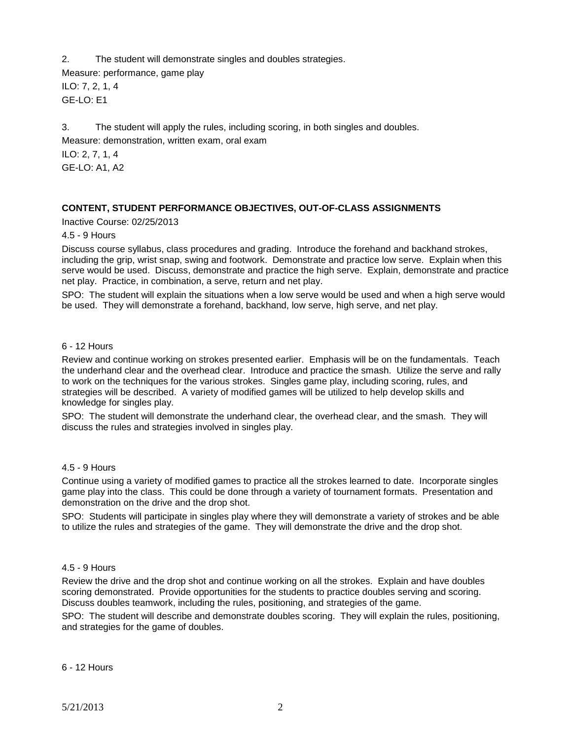2. The student will demonstrate singles and doubles strategies.

Measure: performance, game play ILO: 7, 2, 1, 4 GE-LO: E1

3. The student will apply the rules, including scoring, in both singles and doubles. Measure: demonstration, written exam, oral exam

ILO: 2, 7, 1, 4 GE-LO: A1, A2

# **CONTENT, STUDENT PERFORMANCE OBJECTIVES, OUT-OF-CLASS ASSIGNMENTS**

Inactive Course: 02/25/2013

4.5 - 9 Hours

Discuss course syllabus, class procedures and grading. Introduce the forehand and backhand strokes, including the grip, wrist snap, swing and footwork. Demonstrate and practice low serve. Explain when this serve would be used. Discuss, demonstrate and practice the high serve. Explain, demonstrate and practice net play. Practice, in combination, a serve, return and net play.

SPO: The student will explain the situations when a low serve would be used and when a high serve would be used. They will demonstrate a forehand, backhand, low serve, high serve, and net play.

#### 6 - 12 Hours

Review and continue working on strokes presented earlier. Emphasis will be on the fundamentals. Teach the underhand clear and the overhead clear. Introduce and practice the smash. Utilize the serve and rally to work on the techniques for the various strokes. Singles game play, including scoring, rules, and strategies will be described. A variety of modified games will be utilized to help develop skills and knowledge for singles play.

SPO: The student will demonstrate the underhand clear, the overhead clear, and the smash. They will discuss the rules and strategies involved in singles play.

#### 4.5 - 9 Hours

Continue using a variety of modified games to practice all the strokes learned to date. Incorporate singles game play into the class. This could be done through a variety of tournament formats. Presentation and demonstration on the drive and the drop shot.

SPO: Students will participate in singles play where they will demonstrate a variety of strokes and be able to utilize the rules and strategies of the game. They will demonstrate the drive and the drop shot.

## 4.5 - 9 Hours

Review the drive and the drop shot and continue working on all the strokes. Explain and have doubles scoring demonstrated. Provide opportunities for the students to practice doubles serving and scoring. Discuss doubles teamwork, including the rules, positioning, and strategies of the game.

SPO: The student will describe and demonstrate doubles scoring. They will explain the rules, positioning, and strategies for the game of doubles.

6 - 12 Hours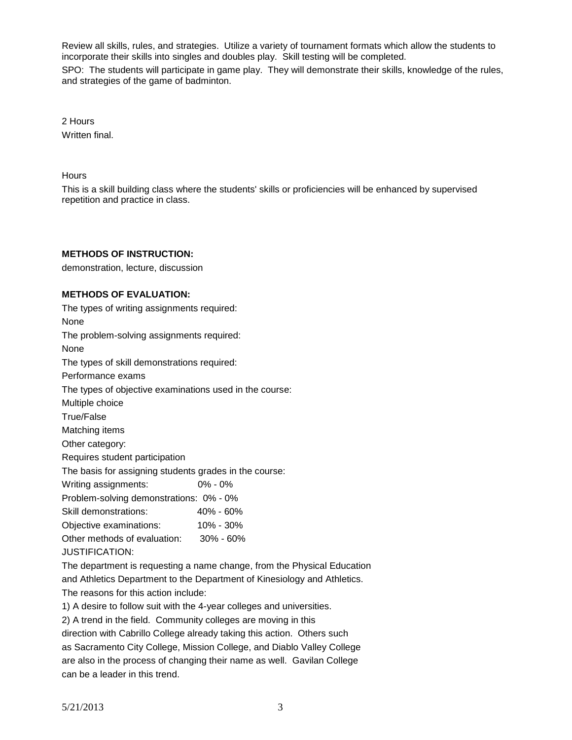Review all skills, rules, and strategies. Utilize a variety of tournament formats which allow the students to incorporate their skills into singles and doubles play. Skill testing will be completed.

SPO: The students will participate in game play. They will demonstrate their skills, knowledge of the rules, and strategies of the game of badminton.

2 Hours Written final.

**Hours** 

This is a skill building class where the students' skills or proficiencies will be enhanced by supervised repetition and practice in class.

## **METHODS OF INSTRUCTION:**

demonstration, lecture, discussion

#### **METHODS OF EVALUATION:**

| The types of writing assignments required:              |                                                                          |  |  |  |  |
|---------------------------------------------------------|--------------------------------------------------------------------------|--|--|--|--|
| None                                                    |                                                                          |  |  |  |  |
| The problem-solving assignments required:               |                                                                          |  |  |  |  |
| None                                                    |                                                                          |  |  |  |  |
| The types of skill demonstrations required:             |                                                                          |  |  |  |  |
| Performance exams                                       |                                                                          |  |  |  |  |
| The types of objective examinations used in the course: |                                                                          |  |  |  |  |
| Multiple choice                                         |                                                                          |  |  |  |  |
| True/False                                              |                                                                          |  |  |  |  |
| Matching items                                          |                                                                          |  |  |  |  |
| Other category:                                         |                                                                          |  |  |  |  |
| Requires student participation                          |                                                                          |  |  |  |  |
| The basis for assigning students grades in the course:  |                                                                          |  |  |  |  |
| Writing assignments:                                    | $0\% - 0\%$                                                              |  |  |  |  |
| Problem-solving demonstrations: 0% - 0%                 |                                                                          |  |  |  |  |
| Skill demonstrations:                                   | 40% - 60%                                                                |  |  |  |  |
| Objective examinations:                                 | 10% - 30%                                                                |  |  |  |  |
| Other methods of evaluation: 30% - 60%                  |                                                                          |  |  |  |  |
| <b>JUSTIFICATION:</b>                                   |                                                                          |  |  |  |  |
|                                                         | The department is requesting a name change, from the Physical Education  |  |  |  |  |
|                                                         | and Athletics Department to the Department of Kinesiology and Athletics. |  |  |  |  |

The reasons for this action include:

1) A desire to follow suit with the 4-year colleges and universities.

2) A trend in the field. Community colleges are moving in this

direction with Cabrillo College already taking this action. Others such as Sacramento City College, Mission College, and Diablo Valley College are also in the process of changing their name as well. Gavilan College can be a leader in this trend.